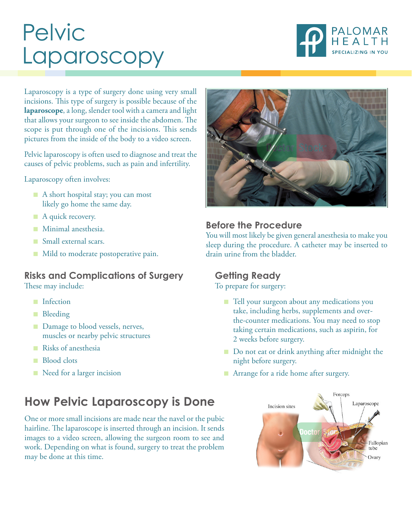# Pelvic Laparoscopy



Laparoscopy is a type of surgery done using very small incisions. This type of surgery is possible because of the **laparoscope**, a long, slender tool with a camera and light that allows your surgeon to see inside the abdomen. The scope is put through one of the incisions. This sends pictures from the inside of the body to a video screen.

Pelvic laparoscopy is often used to diagnose and treat the causes of pelvic problems, such as pain and infertility.

Laparoscopy often involves:

- A short hospital stay; you can most likely go home the same day.
- A quick recovery.
- Minimal anesthesia.
- Small external scars.
- Mild to moderate postoperative pain.

### **Risks and Complications of Surgery** These may include:

- Infection
- Bleeding
- Damage to blood vessels, nerves, muscles or nearby pelvic structures
- Risks of anesthesia
- Blood clots
- Need for a larger incision

# **How Pelvic Laparoscopy is Done**

One or more small incisions are made near the navel or the pubic hairline. The laparoscope is inserted through an incision. It sends images to a video screen, allowing the surgeon room to see and work. Depending on what is found, surgery to treat the problem may be done at this time.



### **Before the Procedure**

You will most likely be given general anesthesia to make you sleep during the procedure. A catheter may be inserted to drain urine from the bladder.

## **Getting Ready**

To prepare for surgery:

- Tell your surgeon about any medications you take, including herbs, supplements and overthe-counter medications. You may need to stop taking certain medications, such as aspirin, for 2 weeks before surgery.
- Do not eat or drink anything after midnight the night before surgery.
- Arrange for a ride home after surgery.